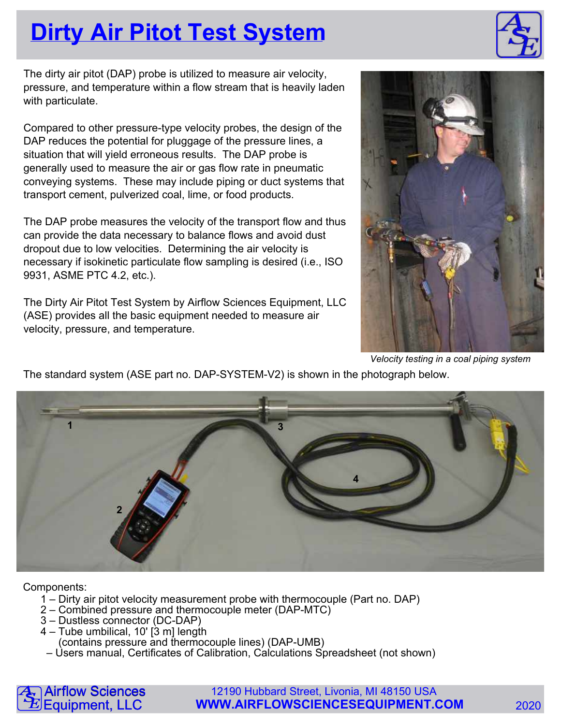## **Dirty Air Pitot Test System**

The dirty air pitot (DAP) probe is utilized to measure air velocity, pressure, and temperature within a flow stream that is heavily laden with particulate.

Compared to other pressure-type velocity probes, the design of the DAP reduces the potential for pluggage of the pressure lines, a situation that will yield erroneous results. The DAP probe is generally used to measure the air or gas flow rate in pneumatic conveying systems. These may include piping or duct systems that transport cement, pulverized coal, lime, or food products.

The DAP probe measures the velocity of the transport flow and thus can provide the data necessary to balance flows and avoid dust dropout due to low velocities. Determining the air velocity is necessary if isokinetic particulate flow sampling is desired (i.e., ISO 9931, ASME PTC 4.2, etc.).

The Dirty Air Pitot Test System by Airflow Sciences Equipment, LLC (ASE) provides all the basic equipment needed to measure air velocity, pressure, and temperature.



Velocity testing in a coal piping system

The standard system (ASE part no. DAP-SYSTEM-V2) is shown in the photograph below.



Components:

- 1 Dirty air pitot velocity measurement probe with thermocouple (Part no. DAP)
- 2 Combined pressure and thermocouple meter (DAP-MTC)
- 3 Dustless connector (DC-DAP)
- 4 Tube umbilical, 10' [3 m] length
	- (contains pressure and thermocouple lines) (DAP-UMB)
- Users manual, Certificates of Calibration, Calculations Spreadsheet (not shown)



12190 Hubbard Street, Livonia, MI 48150 USA **WWW.AIRFLOWSCIENCESEQUIPMENT.COM** 2020